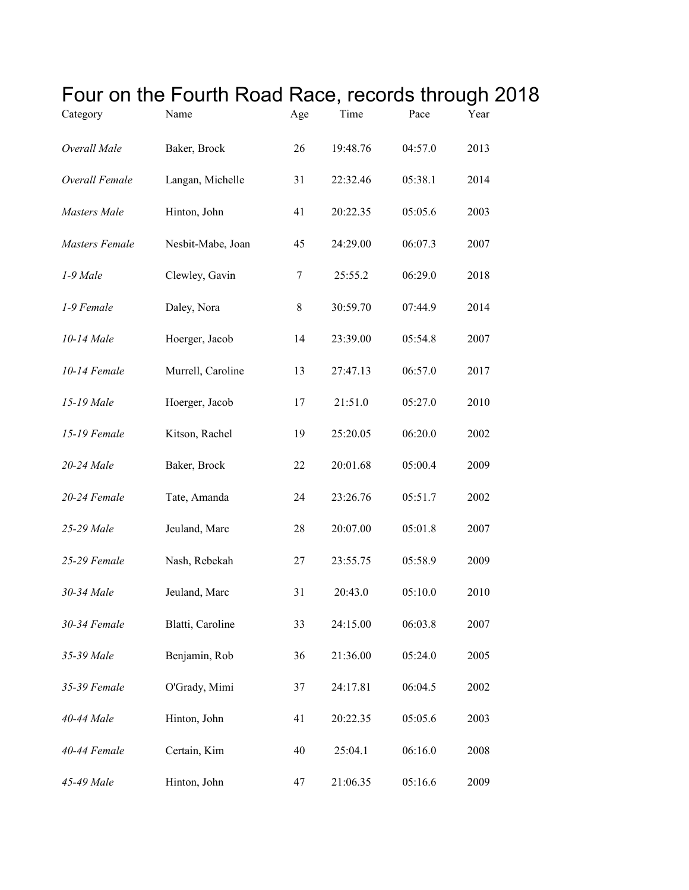| Category            | Four on the Fourth Road Race, records through 20<br>Name | Age | Time     | Pace    | Year |
|---------------------|----------------------------------------------------------|-----|----------|---------|------|
| Overall Male        | Baker, Brock                                             | 26  | 19:48.76 | 04:57.0 | 2013 |
| Overall Female      | Langan, Michelle                                         | 31  | 22:32.46 | 05:38.1 | 2014 |
| <b>Masters</b> Male | Hinton, John                                             | 41  | 20:22.35 | 05:05.6 | 2003 |
| Masters Female      | Nesbit-Mabe, Joan                                        | 45  | 24:29.00 | 06:07.3 | 2007 |
| 1-9 Male            | Clewley, Gavin                                           | 7   | 25:55.2  | 06:29.0 | 2018 |
| 1-9 Female          | Daley, Nora                                              | 8   | 30:59.70 | 07:44.9 | 2014 |
| 10-14 Male          | Hoerger, Jacob                                           | 14  | 23:39.00 | 05:54.8 | 2007 |
| 10-14 Female        | Murrell, Caroline                                        | 13  | 27:47.13 | 06:57.0 | 2017 |
| 15-19 Male          | Hoerger, Jacob                                           | 17  | 21:51.0  | 05:27.0 | 2010 |
| 15-19 Female        | Kitson, Rachel                                           | 19  | 25:20.05 | 06:20.0 | 2002 |
| 20-24 Male          | Baker, Brock                                             | 22  | 20:01.68 | 05:00.4 | 2009 |
| 20-24 Female        | Tate, Amanda                                             | 24  | 23:26.76 | 05:51.7 | 2002 |
| 25-29 Male          | Jeuland, Marc                                            | 28  | 20:07.00 | 05:01.8 | 2007 |
| 25-29 Female        | Nash, Rebekah                                            | 27  | 23:55.75 | 05:58.9 | 2009 |
| 30-34 Male          | Jeuland, Marc                                            | 31  | 20:43.0  | 05:10.0 | 2010 |
| 30-34 Female        | Blatti, Caroline                                         | 33  | 24:15.00 | 06:03.8 | 2007 |
| 35-39 Male          | Benjamin, Rob                                            | 36  | 21:36.00 | 05:24.0 | 2005 |
| 35-39 Female        | O'Grady, Mimi                                            | 37  | 24:17.81 | 06:04.5 | 2002 |
| 40-44 Male          | Hinton, John                                             | 41  | 20:22.35 | 05:05.6 | 2003 |
| 40-44 Female        | Certain, Kim                                             | 40  | 25:04.1  | 06:16.0 | 2008 |
| 45-49 Male          | Hinton, John                                             | 47  | 21:06.35 | 05:16.6 | 2009 |

## Four on the Fourth Road Race, records through 2018